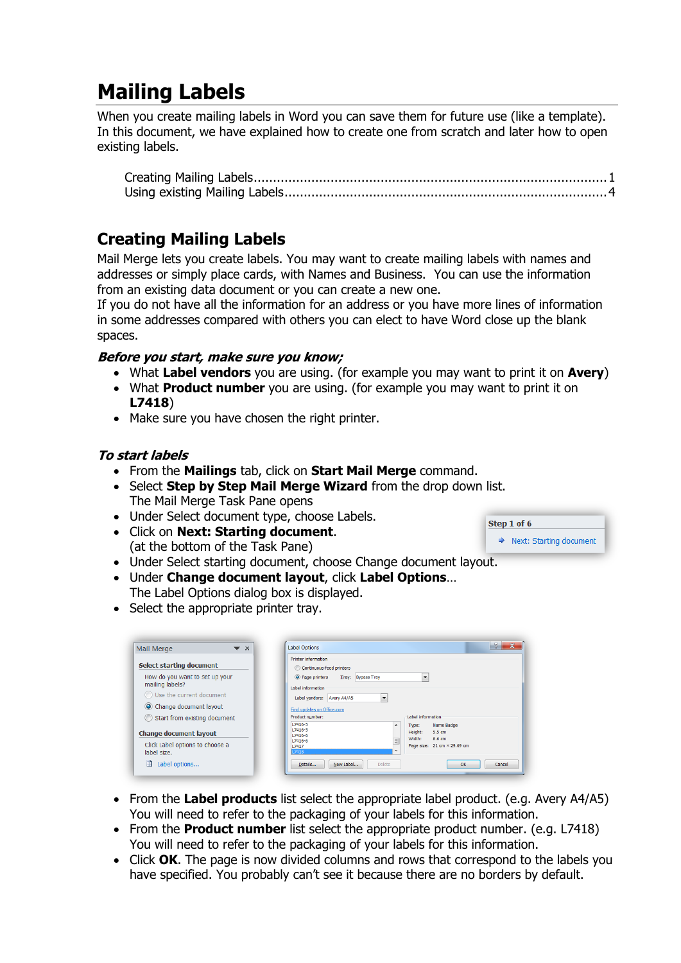# **Mailing Labels**

When you create mailing labels in Word you can save them for future use (like a template). In this document, we have explained how to create one from scratch and later how to open existing labels.

# <span id="page-0-0"></span>**Creating Mailing Labels**

Mail Merge lets you create labels. You may want to create mailing labels with names and addresses or simply place cards, with Names and Business. You can use the information from an existing data document or you can create a new one.

If you do not have all the information for an address or you have more lines of information in some addresses compared with others you can elect to have Word close up the blank spaces.

## **Before you start, make sure you know;**

- What **Label vendors** you are using. (for example you may want to print it on **Avery**)
- What **Product number** you are using. (for example you may want to print it on **L7418**)
- Make sure you have chosen the right printer.

## **To start labels**

- From the **Mailings** tab, click on **Start Mail Merge** command.
- Select **Step by Step Mail Merge Wizard** from the drop down list. The Mail Merge Task Pane opens
- Under Select document type, choose Labels.
- Click on **Next: Starting document**. (at the bottom of the Task Pane)
- Under Select starting document, choose Change document layout.
- Under **Change document layout**, click **Label Options**… The Label Options dialog box is displayed.
- Select the appropriate printer tray.

| <b>Mail Merge</b><br>$\blacktriangledown$ $\times$ | $\mathbf{x}$<br>-9<br><b>Label Options</b>                                                                 |
|----------------------------------------------------|------------------------------------------------------------------------------------------------------------|
|                                                    | <b>Printer information</b>                                                                                 |
| Select starting document                           | Continuous-feed printers                                                                                   |
| How do you want to set up your<br>mailing labels?  | O Page printers<br><b>Bypass Tray</b><br>Tray:<br>$\overline{\phantom{a}}$                                 |
| ◯ Use the current document                         | Label information<br>Label vendors:<br>Avery A4/A5<br>$\overline{\phantom{a}}$                             |
| O Change document layout                           | Find updates on Office.com                                                                                 |
| Start from existing document                       | Product number:<br>Label information                                                                       |
| <b>Change document layout</b>                      | $L7416 - 5$<br>Name Badge<br>Type:<br>۰<br>$L7416 - 5$<br>5.5 cm<br>Height:<br>17416-6<br>Width:<br>8.6 cm |
| Click Label options to choose a<br>label size.     | $\equiv$<br>$L7416 - 6$<br>Page size: 21 cm × 29.69 cm<br>L7417<br>L7418                                   |
| 鹃<br>Label options                                 | New Label<br>Details<br><b>Delete</b><br>OK<br>Cancel                                                      |

- From the **Label products** list select the appropriate label product. (e.g. Avery A4/A5) You will need to refer to the packaging of your labels for this information.
- From the **Product number** list select the appropriate product number. (e.g. L7418) You will need to refer to the packaging of your labels for this information.
- Click **OK**. The page is now divided columns and rows that correspond to the labels you have specified. You probably can't see it because there are no borders by default.

Step 1 of 6  $\Rightarrow$  Next: Starting document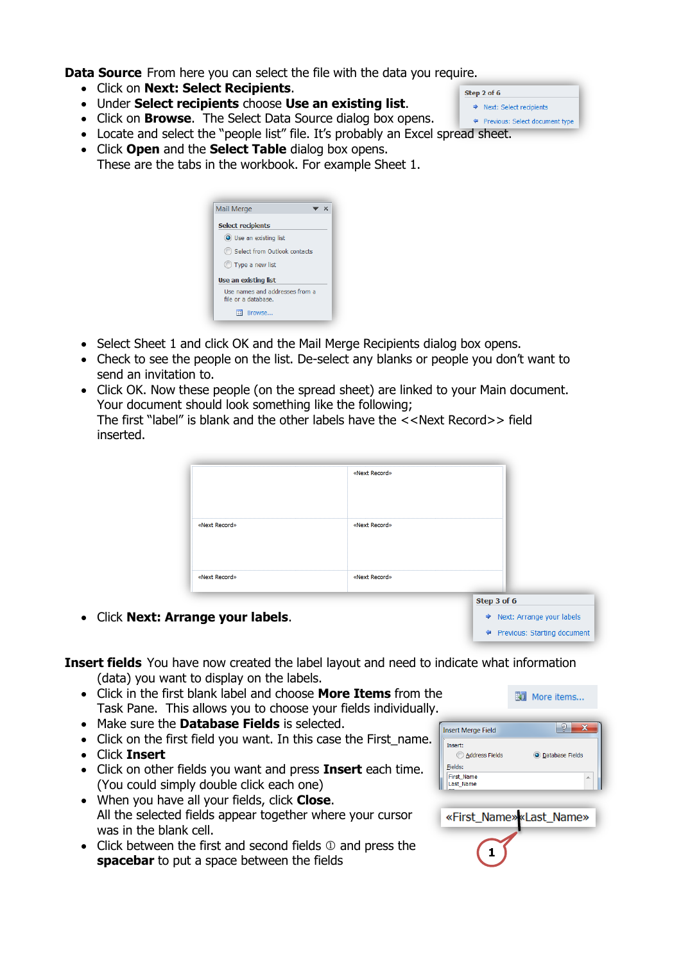**Data Source** From here you can select the file with the data you require.

- Click on **Next: Select Recipients**.
- Under **Select recipients** choose **Use an existing list**.
- Click on **Browse**. The Select Data Source dialog box opens.
- Locate and select the "people list" file. It's probably an Excel spread sheet.
- Click **Open** and the **Select Table** dialog box opens. These are the tabs in the workbook. For example Sheet 1.

| <b>Mail Merge</b>        |                                                       | ▼※ |
|--------------------------|-------------------------------------------------------|----|
| <b>Select recipients</b> |                                                       |    |
|                          | O Use an existing list                                |    |
|                          | Select from Outlook contacts                          |    |
|                          | (C) Type a new list                                   |    |
|                          | Use an existing list                                  |    |
|                          | Use names and addresses from a<br>file or a database. |    |
|                          | Browse                                                |    |

- Select Sheet 1 and click OK and the Mail Merge Recipients dialog box opens.
- Check to see the people on the list. De-select any blanks or people you don't want to send an invitation to.
- Click OK. Now these people (on the spread sheet) are linked to your Main document. Your document should look something like the following; The first "label" is blank and the other labels have the <<Next Record>> field inserted.

| «Next Record» | «Next Record» |             |
|---------------|---------------|-------------|
| «Next Record» | «Next Record» |             |
|               |               | Step 3 of 6 |

Click **Next: Arrange your labels**.

**Insert fields** You have now created the label layout and need to indicate what information (data) you want to display on the labels.

- Click in the first blank label and choose **More Items** from the Task Pane. This allows you to choose your fields individually.
- Make sure the **Database Fields** is selected.
- Click on the first field you want. In this case the First\_name.
- Click **Insert**
- Click on other fields you want and press **Insert** each time. (You could simply double click each one)
- When you have all your fields, click **Close**. All the selected fields appear together where your cursor was in the blank cell.
- $\bullet$  Click between the first and second fields  $\mathbb O$  and press the **spacebar** to put a space between the fields  $\overline{a}$  and press the

| <b>Insert Merge Field</b>                               |                   |
|---------------------------------------------------------|-------------------|
| ٠<br><b>Insert:</b><br><b>Address Fields</b><br>Fields: | O Database Fields |
| First_Name<br>Last_Name                                 | A                 |

«First\_Name» «Last\_Name»

→ Next: Arrange your labels ← Previous: Starting document

图 More items...

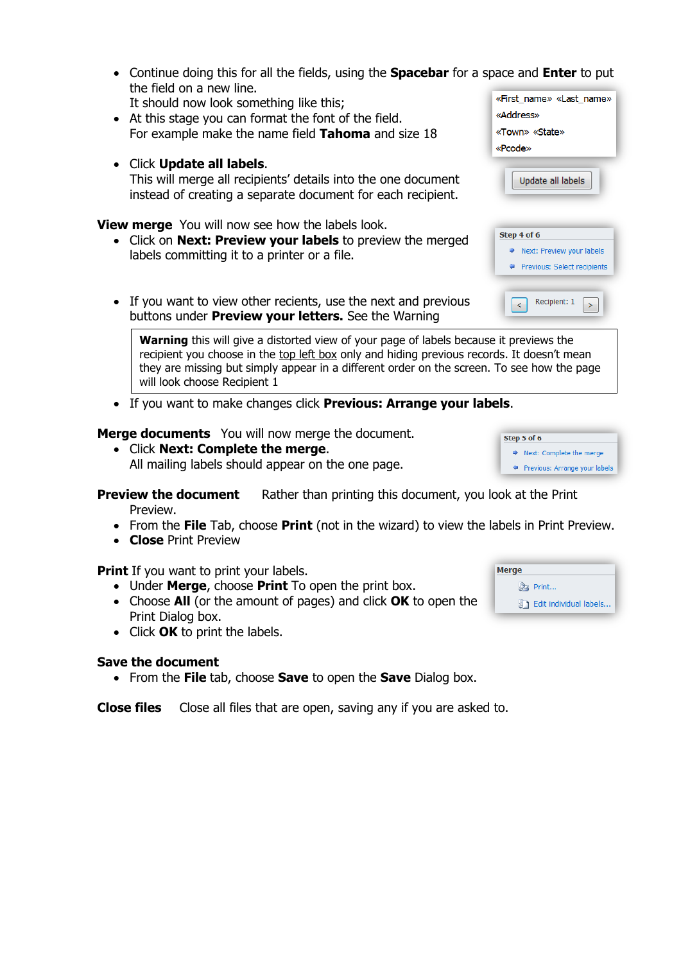- Continue doing this for all the field the field on a new line. It should now look something like
- $\bullet$  At this stage you can format the fo For example make the name field
- Click **Update all labels**. This will merge all recipients' detail instead of creating a separate document for each recipient.

**View merge** You will now see how the labels look.

- Click on **Next: Preview your labels** to preview the merged labels committing it to a printer or a file.
- If you want to view other recients, use the next and previous buttons under **Preview your letters.** See the Warning

**Warning** this will give a distorted view of your page of labels because it previews the recipient you choose in the top left box only and hiding previous records. It doesn't mean they are missing but simply appear in a different order on the screen. To see how the page will look choose Recipient 1

If you want to make changes click **Previous: Arrange your labels**.

**Merge documents** You will now merge the document.

 Click **Next: Complete the merge**. All mailing labels should appear on the one page.

**Preview the document** Rather than printing this document, you look at the Print Preview.

- From the **File** Tab, choose **Print** (not in the wizard) to view the labels in Print Preview.
- **Close** Print Preview

**Print** If you want to print your labels.

- Under **Merge**, choose **Print** To open the print box.
- Choose **All** (or the amount of pages) and click **OK** to open the Print Dialog box.
- Click **OK** to print the labels.

#### **Save the document**

From the **File** tab, choose **Save** to open the **Save** Dialog box.

**Close files** Close all files that are open, saving any if you are asked to.

| <b>Merge</b> |                                 |
|--------------|---------------------------------|
|              | ♪ Print                         |
|              | <b>A</b> Edit individual labels |

→ Next: Complete the merge ◆ Previous: Arrange your labels

Step 5 of 6

| ls, using the <b>Spacebar</b> for a space and <b>Enter</b> to put |                                                                    |
|-------------------------------------------------------------------|--------------------------------------------------------------------|
| this;<br>ont of the field.<br><b>Tahoma</b> and size 18           | «First name» «Last name»<br>«Address»<br>«Town» «State»<br>«Pcode» |
| Is into the one document                                          | Update all labels                                                  |

| Next: Preview your labels<br>⋫ |  |
|--------------------------------|--|
| Previous: Select recipients    |  |
|                                |  |
| Recipient: 1                   |  |